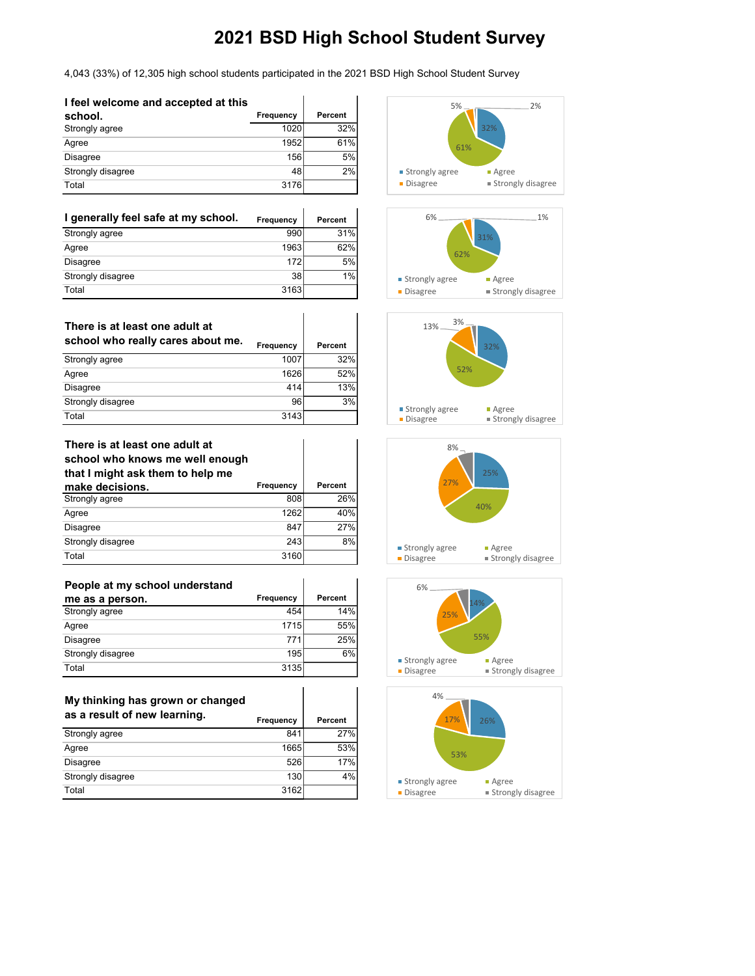### 4,043 (33%) of 12,305 high school students participated in the 2021 BSD High School Student Survey

 $\mathbf{I}$ 

 $\overline{1}$ 

 $\overline{\phantom{a}}$ 

| I feel welcome and accepted at this |           |         |
|-------------------------------------|-----------|---------|
| school.                             | Frequency | Percent |
| Strongly agree                      | 1020      | 32%     |
| Agree                               | 1952      | 61%     |
| <b>Disagree</b>                     | 156       | 5%      |
| Strongly disagree                   | 48        | 2%      |
| Total                               | 3176      |         |

| I generally feel safe at my school. | Frequency | <b>Percent</b> |
|-------------------------------------|-----------|----------------|
| Strongly agree                      | 990       | 31%            |
| Agree                               | 1963      | 62%            |
| <b>Disagree</b>                     | 172       | 5%             |
| Strongly disagree                   | 38        | 1%             |
| Total                               | 3163      |                |

| There is at least one adult at<br>school who really cares about me. | <b>Frequency</b> | Percent |
|---------------------------------------------------------------------|------------------|---------|
|                                                                     |                  |         |
| Strongly agree                                                      | 1007             | 32%     |
| Agree                                                               | 1626             | 52%     |
| <b>Disagree</b>                                                     | 414              | 13%     |
| Strongly disagree                                                   | 96               | 3%      |
| Total                                                               | 3143             |         |

#### **There is at least one adult at school who knows me well enough that I might ask them to help me make decisions. Frequency Percent**<br>Strongly agree 808 26% Strongly agree

| Agree             | 1262 | 40% |
|-------------------|------|-----|
| Disagree          | 847  | 7%  |
| Strongly disagree | 243  | 8%  |
| Total             | 3160 |     |

| People at my school understand |           |         |
|--------------------------------|-----------|---------|
| me as a person.                | Frequency | Percent |
| Strongly agree                 | 454       | 14%     |
| Agree                          | 1715      | 55%     |
| Disagree                       | 771       | 25%     |
| Strongly disagree              | 195       | 6%      |
| Total                          | 3135      |         |

| My thinking has grown or changed<br>as a result of new learning. | <b>Frequency</b> | Percent |
|------------------------------------------------------------------|------------------|---------|
| Strongly agree                                                   | 841              | 27%     |
| Agree                                                            | 1665             | 53%     |
| <b>Disagree</b>                                                  | 526              | 17%     |
| Strongly disagree                                                | 130              | 4%      |
| Total                                                            | 3162             |         |









**Disagree Strongly disagree**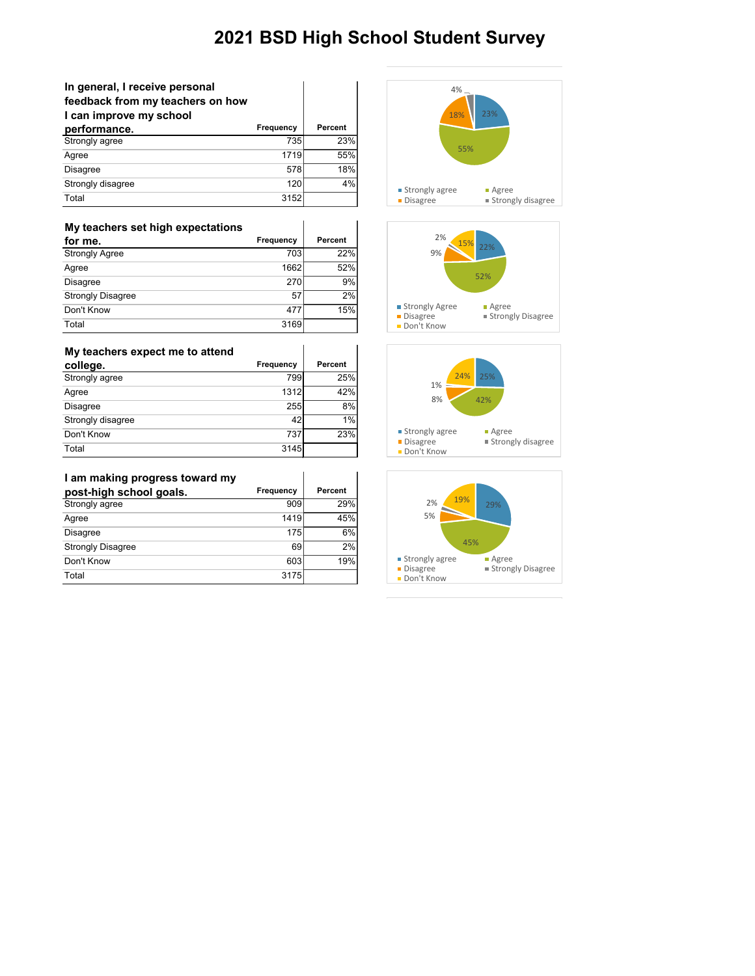| In general, I receive personal<br>feedback from my teachers on how<br>I can improve my school |           |         |
|-----------------------------------------------------------------------------------------------|-----------|---------|
| performance.                                                                                  | Frequency | Percent |
| Strongly agree                                                                                | 735       | 23%     |
| Agree                                                                                         | 1719      | 55%     |
| <b>Disagree</b>                                                                               | 578       | 18%     |
| Strongly disagree                                                                             | 120       | 4%      |
| Total                                                                                         | 3152      |         |

| My teachers set high expectations |           |         |
|-----------------------------------|-----------|---------|
| for me.                           | Frequency | Percent |
| <b>Strongly Agree</b>             | 703       | 22%     |
| Agree                             | 1662      | 52%     |
| <b>Disagree</b>                   | 270       | 9%      |
| <b>Strongly Disagree</b>          | 57        | 2%      |
| Don't Know                        | 477       | 15%     |
| Total                             | 3169      |         |

| My teachers expect me to attend |           |         |
|---------------------------------|-----------|---------|
| college.                        | Frequency | Percent |
| Strongly agree                  | 799       | 25%     |
| Agree                           | 1312      | 42%     |
| Disagree                        | 255       | 8%      |
| Strongly disagree               | 42        | 1%      |
| Don't Know                      | 737       | 23%     |
| Total                           | 3145      |         |

### **I am making progress toward my**

| I am making progress toward my |                  |         |
|--------------------------------|------------------|---------|
| post-high school goals.        | <b>Frequency</b> | Percent |
| Strongly agree                 | 909              | 29%     |
| Agree                          | 1419             | 45%     |
| Disagree                       | 175              | 6%      |
| <b>Strongly Disagree</b>       | 69               | 2%      |
| Don't Know                     | 603              | 19%     |
| Total                          | 3175             |         |





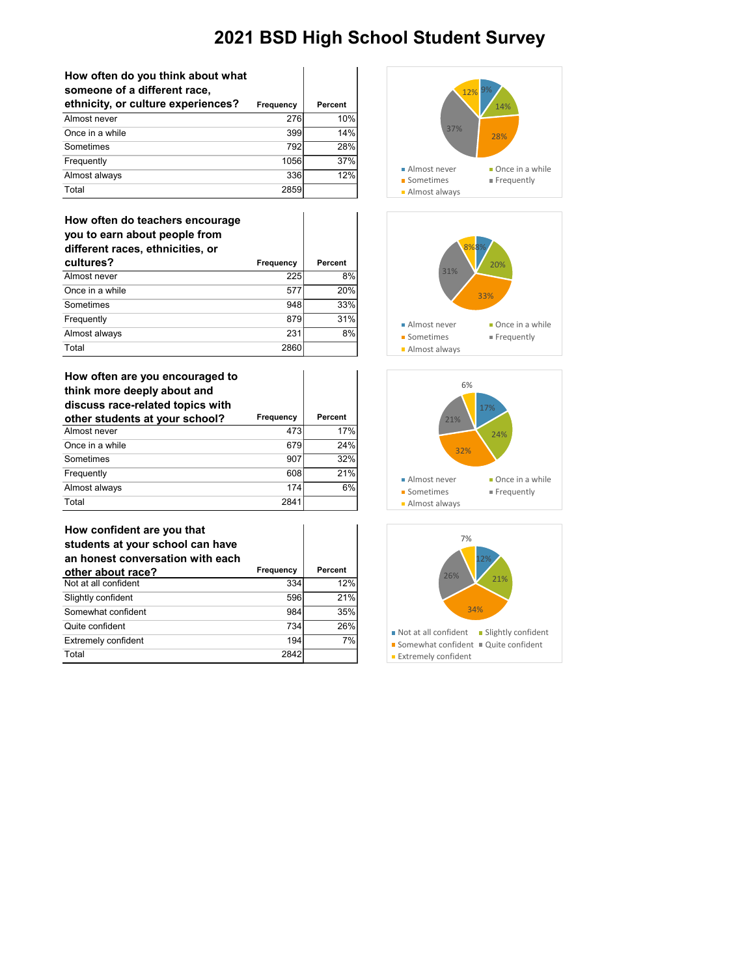| How often do you think about what |
|-----------------------------------|
| someone of a different race,      |

| ethnicity, or culture experiences? | Frequency | Percent |
|------------------------------------|-----------|---------|
| Almost never                       | 276       | 10%     |
| Once in a while                    | 399       | 14%     |
| Sometimes                          | 792       | 28%     |
| Frequently                         | 1056      | 37%     |
| Almost always                      | 336       | 12%     |
| Total                              | 2859      |         |

| How often do teachers encourage<br>you to earn about people from<br>different races, ethnicities, or |                  |         |
|------------------------------------------------------------------------------------------------------|------------------|---------|
| cultures?                                                                                            | <b>Frequency</b> | Percent |
| Almost never                                                                                         | 225              | 8%      |
| Once in a while                                                                                      | 577              | 20%     |
| Sometimes                                                                                            | 948              | 33%     |
| Frequently                                                                                           | 879              | 31%     |
| Almost always                                                                                        | 231              | 8%      |

Total 2860

| How often are you encouraged to<br>think more deeply about and<br>discuss race-related topics with |                  |         |
|----------------------------------------------------------------------------------------------------|------------------|---------|
| other students at your school?                                                                     | <b>Frequency</b> | Percent |
| Almost never                                                                                       | 473              | 17%     |
| Once in a while                                                                                    | 679              | 24%     |
| Sometimes                                                                                          | 907              | 32%     |
| Frequently                                                                                         | 608              | 21%     |
| Almost always                                                                                      | 174              | 6%      |
| Total                                                                                              | 2841             |         |

| How confident are you that<br>students at your school can have<br>an honest conversation with each |           |                |
|----------------------------------------------------------------------------------------------------|-----------|----------------|
| other about race?                                                                                  | Frequency | <b>Percent</b> |
| Not at all confident                                                                               | 334       | 12%            |
| Slightly confident                                                                                 | 596       | 21%            |
| Somewhat confident                                                                                 | 984       | 35%            |
| Quite confident                                                                                    | 734       | 26%            |
| <b>Extremely confident</b>                                                                         | 194       | 7%             |
| Total                                                                                              | 2842      |                |







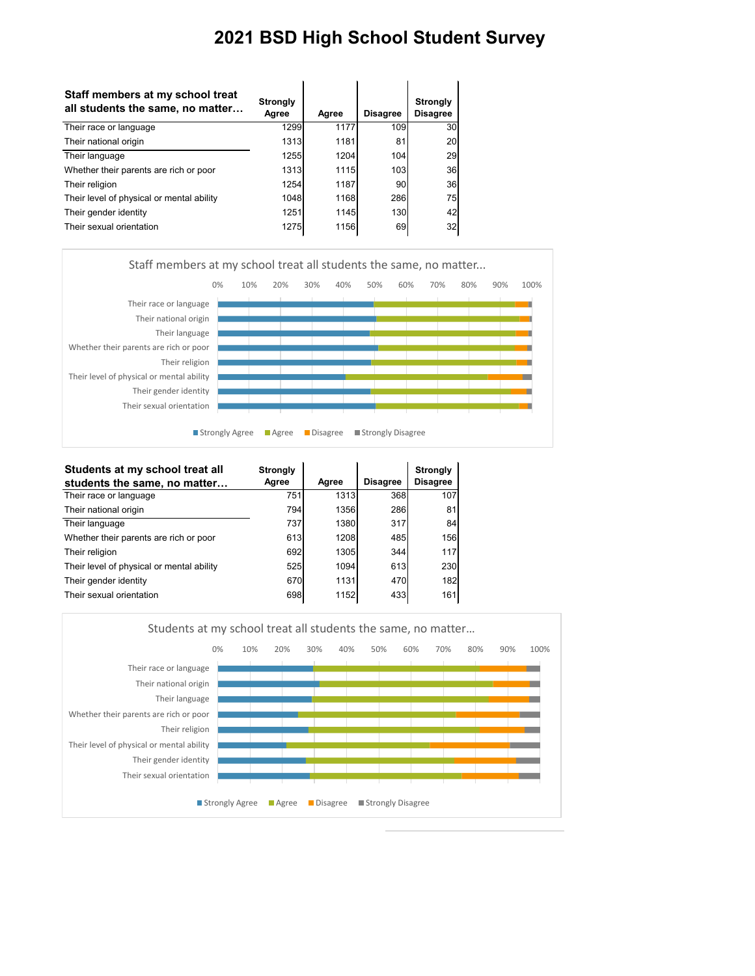| Staff members at my school treat<br>all students the same, no matter | <b>Strongly</b><br>Agree | Agree       | <b>Disagree</b> | <b>Strongly</b><br><b>Disagree</b> |
|----------------------------------------------------------------------|--------------------------|-------------|-----------------|------------------------------------|
| Their race or language                                               | 1299                     | 1177        | 109             | 30                                 |
| Their national origin                                                | 1313                     | 1181        | 81              | 20                                 |
| Their language                                                       | 1255                     | 1204        | 104             | 29                                 |
| Whether their parents are rich or poor                               | 1313                     | 1115        | 103             | 36                                 |
| Their religion                                                       | 1254                     | 1187        | 90              | 36                                 |
| Their level of physical or mental ability                            | 1048                     | 1168        | 286             | 75                                 |
| Their gender identity                                                | 1251                     | <b>1145</b> | 130             | 42                                 |
| Their sexual orientation                                             | 1275                     | 1156        | 69              | 32                                 |



| Students at my school treat all           | <b>Strongly</b> |       |                 | <b>Strongly</b> |
|-------------------------------------------|-----------------|-------|-----------------|-----------------|
| students the same, no matter              | Agree           | Agree | <b>Disagree</b> | <b>Disagree</b> |
| Their race or language                    | 751             | 1313  | 368             | 107             |
| Their national origin                     | 794             | 1356  | 286             | 81              |
| Their language                            | 737             | 1380  | 317             | 84              |
| Whether their parents are rich or poor    | 613             | 1208  | 485             | 156             |
| Their religion                            | 692             | 1305  | 344             | 117             |
| Their level of physical or mental ability | 525             | 1094  | 613             | 230             |
| Their gender identity                     | 670             | 1131  | 470             | 182             |
| Their sexual orientation                  | 698             | 1152  | 433             | 161             |

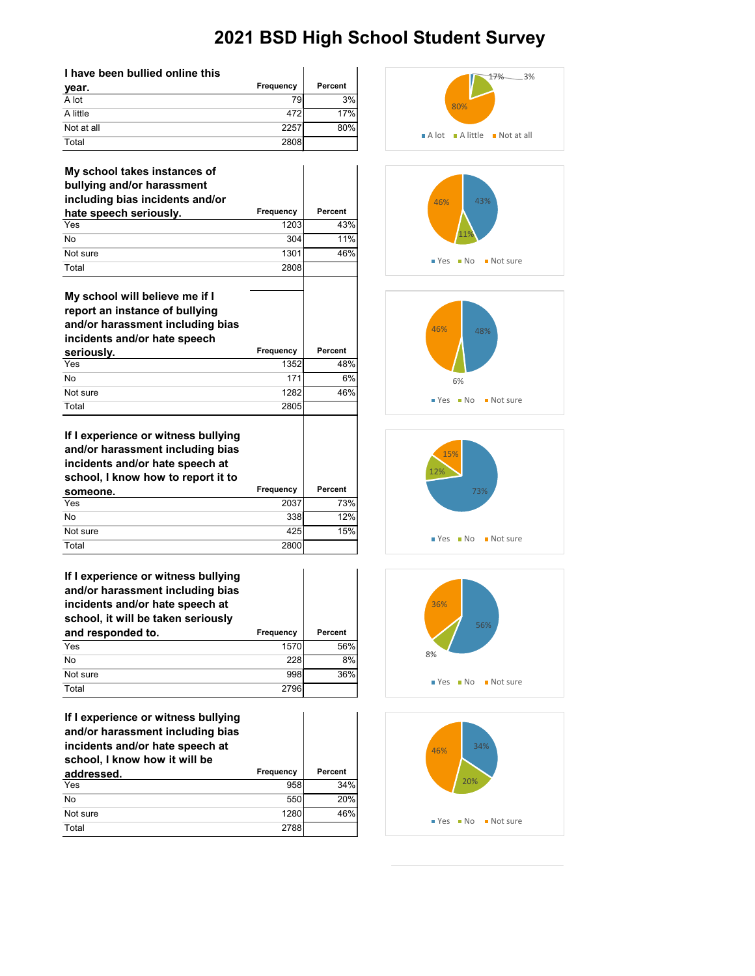| I have been bullied online this |           |         |
|---------------------------------|-----------|---------|
| year.                           | Frequency | Percent |
| A lot                           | 79        | 3%      |
| A little                        | 472       | 17%     |
| Not at all                      | 2257      | 80%     |
| Total                           | 2808      |         |

| My school takes instances of<br>bullying and/or harassment                                                                                       |           |                |
|--------------------------------------------------------------------------------------------------------------------------------------------------|-----------|----------------|
| including bias incidents and/or                                                                                                                  | Frequency | Percent        |
| hate speech seriously.<br>Yes                                                                                                                    | 1203      | 43%            |
| <b>No</b>                                                                                                                                        | 304       | 11%            |
| Not sure                                                                                                                                         | 1301      | 46%            |
|                                                                                                                                                  |           |                |
| Total                                                                                                                                            | 2808      |                |
| My school will believe me if I<br>report an instance of bullying<br>and/or harassment including bias<br>incidents and/or hate speech             |           |                |
| seriously.                                                                                                                                       | Frequency | <b>Percent</b> |
| Yes                                                                                                                                              | 1352      | 48%            |
| <b>No</b>                                                                                                                                        | 171       | 6%             |
| Not sure                                                                                                                                         | 1282      | 46%            |
| Total                                                                                                                                            | 2805      |                |
| If I experience or witness bullying<br>and/or harassment including bias<br>incidents and/or hate speech at<br>school, I know how to report it to |           |                |
| someone.                                                                                                                                         | Frequency | <b>Percent</b> |
| Yes                                                                                                                                              | 2037      | 73%            |
| No                                                                                                                                               | 338       | 12%            |
| Not sure                                                                                                                                         | 425       | 15%            |

| If I experience or witness bullying<br>and/or harassment including bias<br>incidents and/or hate speech at<br>school, it will be taken seriously |           |                |
|--------------------------------------------------------------------------------------------------------------------------------------------------|-----------|----------------|
| and responded to.                                                                                                                                | Frequency | <b>Percent</b> |
| Yes                                                                                                                                              | 1570      | 56%            |
| No                                                                                                                                               | 228       | 8%             |
| Not sure                                                                                                                                         | 998       | 36%            |
| Total                                                                                                                                            |           |                |

Total 2800

| If I experience or witness bullying<br>and/or harassment including bias<br>incidents and/or hate speech at<br>school, I know how it will be |           |         |
|---------------------------------------------------------------------------------------------------------------------------------------------|-----------|---------|
| addressed.                                                                                                                                  | Frequency | Percent |
| Yes                                                                                                                                         | 958       | 34%     |
| <b>No</b>                                                                                                                                   | 550       | 20%     |
| Not sure                                                                                                                                    | 1280      | 46%     |
| Total                                                                                                                                       | 2788      |         |











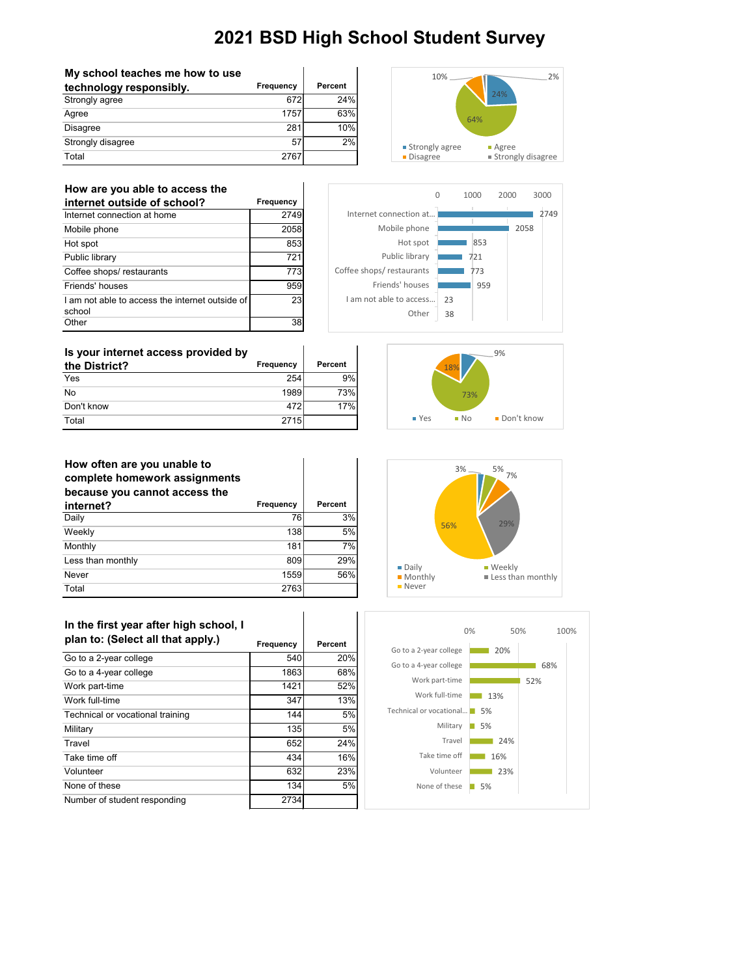| My school teaches me how to use |           |            |
|---------------------------------|-----------|------------|
| technology responsibly.         | Frequency | Percent    |
| Strongly agree                  | 672       | <b>24%</b> |
| Agree                           | 1757      | 63%        |
| Disagree                        | 281       | 10%        |
| Strongly disagree               | 57        | 2%         |
| Total                           | 2767      |            |



#### **How are you able to access the**

| internet outside of school?                               | Frequency |
|-----------------------------------------------------------|-----------|
| Internet connection at home                               | 2749      |
| Mobile phone                                              | 2058      |
| Hot spot                                                  | 853       |
| Public library                                            | 721       |
| Coffee shops/restaurants                                  | 773       |
| Friends' houses                                           | 959       |
| I am not able to access the internet outside of<br>school | 23        |
| Other                                                     |           |



| Is your internet access provided by |           |         |
|-------------------------------------|-----------|---------|
| the District?                       | Frequency | Percent |
| Yes                                 | 254       | 9%      |
| No                                  | 1989      | 73%     |
| Don't know                          | 472       | 17%     |
| Total                               | 2715      |         |



### **How often are you unable to**

| complete homework assignments<br>because you cannot access the |           |         |
|----------------------------------------------------------------|-----------|---------|
| internet?                                                      | Frequency | Percent |
| Daily                                                          | 76        | 3%      |
| Weekly                                                         | 138       | 5%      |
| Monthly                                                        | 181       | 7%      |
| Less than monthly                                              | 809       | 29%     |
| Never                                                          | 1559      | 56%     |
| Total                                                          | 2763      |         |

 $\mathbf{I}$ 

| In the first year after high school, I |           |         |  |
|----------------------------------------|-----------|---------|--|
| plan to: (Select all that apply.)      | Frequency | Percent |  |
| Go to a 2-year college                 | 540       | 20%     |  |
| Go to a 4-year college                 | 1863      | 68%     |  |
| Work part-time                         | 1421      | 52%     |  |
| Work full-time                         | 347       | 13%     |  |
| Technical or vocational training       | 144       | 5%      |  |
| Military                               | 135       | 5%      |  |
| Travel                                 | 652       | 24%     |  |
| Take time off                          | 434       | 16%     |  |
| Volunteer                              | 632       | 23%     |  |
| None of these                          | 134       | 5%      |  |
| Number of student responding           | 2734      |         |  |